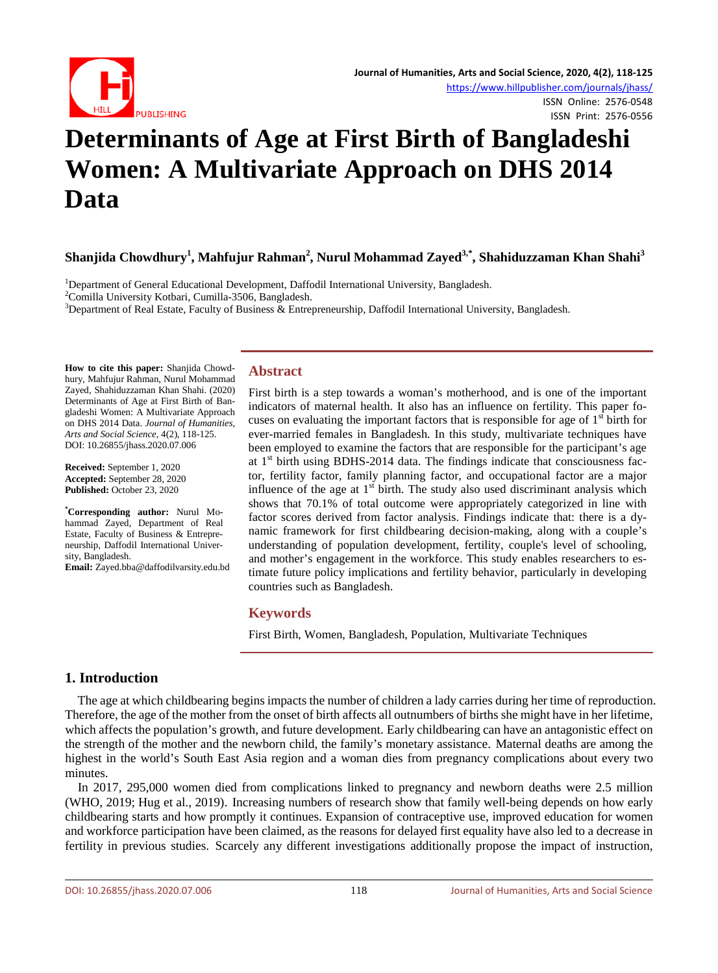

ISSN Print: 2576-0556

# **Determinants of Age at First Birth of Bangladeshi Women: A Multivariate Approach on DHS 2014 Data**

## **Shanjida Chowdhury<sup>1</sup> , Mahfujur Rahman2 , Nurul Mohammad Zayed3,\*, Shahiduzzaman Khan Shahi<sup>3</sup>**

<sup>1</sup>Department of General Educational Development, Daffodil International University, Bangladesh.<br><sup>2</sup>Comilla University Kothari, Cumilla 3506, Bangladesh.

<sup>2</sup>Comilla University Kotbari, Cumilla-3506, Bangladesh.

<sup>3</sup>Department of Real Estate, Faculty of Business & Entrepreneurship, Daffodil International University, Bangladesh.

**How to cite this paper:** Shanjida Chowdhury, Mahfujur Rahman, Nurul Mohammad Zayed, Shahiduzzaman Khan Shahi. (2020) Determinants of Age at First Birth of Bangladeshi Women: A Multivariate Approach on DHS 2014 Data. *Journal of Humanities, Arts and Social Science*, 4(2), 118-125. DOI: 10.26855/jhass.2020.07.006

**Received:** September 1, 2020 **Accepted:** September 28, 2020 **Published:** October 23, 2020

**\* Corresponding author:** Nurul Mohammad Zayed, Department of Real Estate, Faculty of Business & Entrepreneurship, Daffodil International University, Bangladesh.

**Email:** Zayed.bba@daffodilvarsity.edu.bd

#### **Abstract**

First birth is a step towards a woman's motherhood, and is one of the important indicators of maternal health. It also has an influence on fertility. This paper focuses on evaluating the important factors that is responsible for age of  $1<sup>st</sup>$  birth for ever-married females in Bangladesh. In this study, multivariate techniques have been employed to examine the factors that are responsible for the participant's age at  $1<sup>st</sup>$  birth using BDHS-2014 data. The findings indicate that consciousness factor, fertility factor, family planning factor, and occupational factor are a major influence of the age at  $1<sup>st</sup>$  birth. The study also used discriminant analysis which shows that 70.1% of total outcome were appropriately categorized in line with factor scores derived from factor analysis. Findings indicate that: there is a dynamic framework for first childbearing decision-making, along with a couple's understanding of population development, fertility, couple's level of schooling, and mother's engagement in the workforce. This study enables researchers to estimate future policy implications and fertility behavior, particularly in developing countries such as Bangladesh.

#### **Keywords**

First Birth, Women, Bangladesh, Population, Multivariate Techniques

## **1. Introduction**

The age at which childbearing begins impacts the number of children a lady carries during her time of reproduction. Therefore, the age of the mother from the onset of birth affects all outnumbers of births she might have in her lifetime, which affects the population's growth, and future development. Early childbearing can have an antagonistic effect on the strength of the mother and the newborn child, the family's monetary assistance. Maternal deaths are among the highest in the world's South East Asia region and a woman dies from pregnancy complications about every two minutes.

In 2017, 295,000 women died from complications linked to pregnancy and newborn deaths were 2.5 million (WHO, 2019; Hug et al., 2019). Increasing numbers of research show that family well-being depends on how early childbearing starts and how promptly it continues. Expansion of contraceptive use, improved education for women and workforce participation have been claimed, as the reasons for delayed first equality have also led to a decrease in fertility in previous studies. Scarcely any different investigations additionally propose the impact of instruction,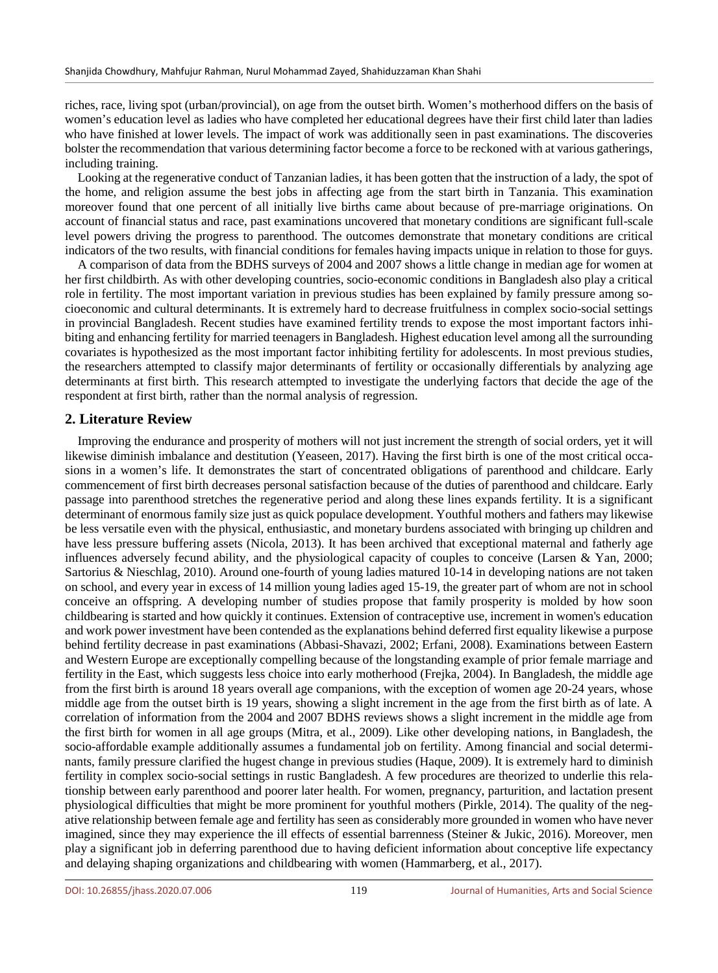riches, race, living spot (urban/provincial), on age from the outset birth. Women's motherhood differs on the basis of women's education level as ladies who have completed her educational degrees have their first child later than ladies who have finished at lower levels. The impact of work was additionally seen in past examinations. The discoveries bolster the recommendation that various determining factor become a force to be reckoned with at various gatherings, including training.

Looking at the regenerative conduct of Tanzanian ladies, it has been gotten that the instruction of a lady, the spot of the home, and religion assume the best jobs in affecting age from the start birth in Tanzania. This examination moreover found that one percent of all initially live births came about because of pre-marriage originations. On account of financial status and race, past examinations uncovered that monetary conditions are significant full-scale level powers driving the progress to parenthood. The outcomes demonstrate that monetary conditions are critical indicators of the two results, with financial conditions for females having impacts unique in relation to those for guys.

A comparison of data from the BDHS surveys of 2004 and 2007 shows a little change in median age for women at her first childbirth. As with other developing countries, socio-economic conditions in Bangladesh also play a critical role in fertility. The most important variation in previous studies has been explained by family pressure among socioeconomic and cultural determinants. It is extremely hard to decrease fruitfulness in complex socio-social settings in provincial Bangladesh. Recent studies have examined fertility trends to expose the most important factors inhibiting and enhancing fertility for married teenagers in Bangladesh. Highest education level among all the surrounding covariates is hypothesized as the most important factor inhibiting fertility for adolescents. In most previous studies, the researchers attempted to classify major determinants of fertility or occasionally differentials by analyzing age determinants at first birth. This research attempted to investigate the underlying factors that decide the age of the respondent at first birth, rather than the normal analysis of regression.

#### **2. Literature Review**

Improving the endurance and prosperity of mothers will not just increment the strength of social orders, yet it will likewise diminish imbalance and destitution (Yeaseen, 2017). Having the first birth is one of the most critical occasions in a women's life. It demonstrates the start of concentrated obligations of parenthood and childcare. Early commencement of first birth decreases personal satisfaction because of the duties of parenthood and childcare. Early passage into parenthood stretches the regenerative period and along these lines expands fertility. It is a significant determinant of enormous family size just as quick populace development. Youthful mothers and fathers may likewise be less versatile even with the physical, enthusiastic, and monetary burdens associated with bringing up children and have less pressure buffering assets (Nicola, 2013). It has been archived that exceptional maternal and fatherly age influences adversely fecund ability, and the physiological capacity of couples to conceive (Larsen & Yan, 2000; Sartorius & Nieschlag, 2010). Around one-fourth of young ladies matured 10-14 in developing nations are not taken on school, and every year in excess of 14 million young ladies aged 15-19, the greater part of whom are not in school conceive an offspring. A developing number of studies propose that family prosperity is molded by how soon childbearing is started and how quickly it continues. Extension of contraceptive use, increment in women's education and work power investment have been contended as the explanations behind deferred first equality likewise a purpose behind fertility decrease in past examinations (Abbasi-Shavazi, 2002; Erfani, 2008). Examinations between Eastern and Western Europe are exceptionally compelling because of the longstanding example of prior female marriage and fertility in the East, which suggests less choice into early motherhood (Frejka, 2004). In Bangladesh, the middle age from the first birth is around 18 years overall age companions, with the exception of women age 20-24 years, whose middle age from the outset birth is 19 years, showing a slight increment in the age from the first birth as of late. A correlation of information from the 2004 and 2007 BDHS reviews shows a slight increment in the middle age from the first birth for women in all age groups (Mitra, et al., 2009). Like other developing nations, in Bangladesh, the socio-affordable example additionally assumes a fundamental job on fertility. Among financial and social determinants, family pressure clarified the hugest change in previous studies (Haque, 2009). It is extremely hard to diminish fertility in complex socio-social settings in rustic Bangladesh. A few procedures are theorized to underlie this relationship between early parenthood and poorer later health. For women, pregnancy, parturition, and lactation present physiological difficulties that might be more prominent for youthful mothers (Pirkle, 2014). The quality of the negative relationship between female age and fertility has seen as considerably more grounded in women who have never imagined, since they may experience the ill effects of essential barrenness (Steiner & Jukic, 2016). Moreover, men play a significant job in deferring parenthood due to having deficient information about conceptive life expectancy and delaying shaping organizations and childbearing with women (Hammarberg, et al., 2017).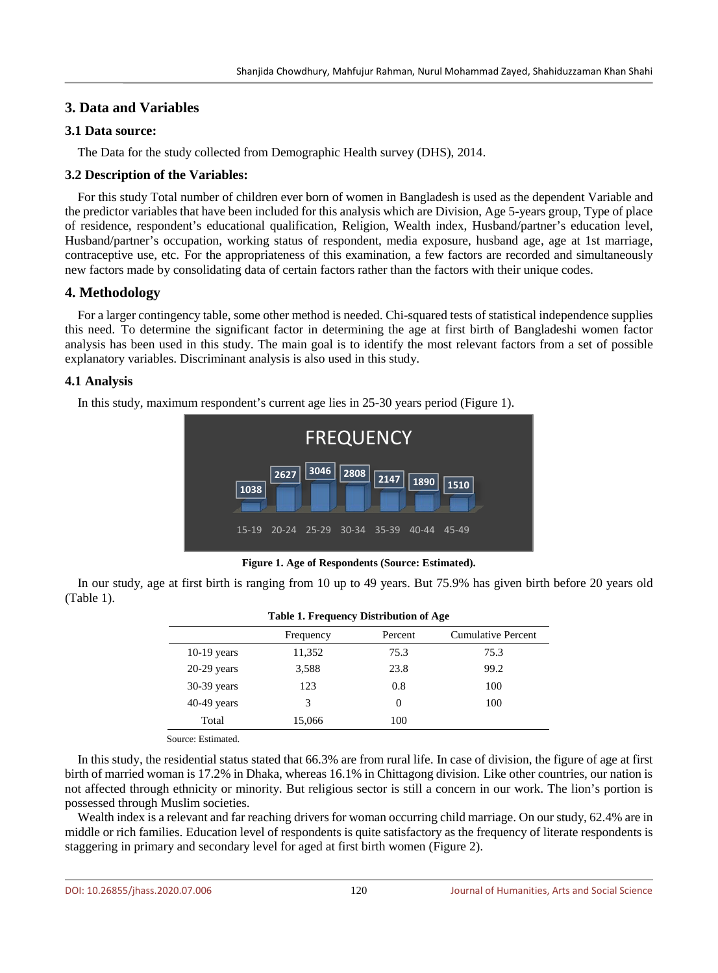## **3. Data and Variables**

#### **3.1 Data source:**

The Data for the study collected from Demographic Health survey (DHS), 2014.

## **3.2 Description of the Variables:**

For this study Total number of children ever born of women in Bangladesh is used as the dependent Variable and the predictor variables that have been included for this analysis which are Division, Age 5-years group, Type of place of residence, respondent's educational qualification, Religion, Wealth index, Husband/partner's education level, Husband/partner's occupation, working status of respondent, media exposure, husband age, age at 1st marriage, contraceptive use, etc. For the appropriateness of this examination, a few factors are recorded and simultaneously new factors made by consolidating data of certain factors rather than the factors with their unique codes.

## **4. Methodology**

For a larger contingency table, some other method is needed. Chi-squared tests of statistical independence supplies this need. To determine the significant factor in determining the age at first birth of Bangladeshi women factor analysis has been used in this study. The main goal is to identify the most relevant factors from a set of possible explanatory variables. Discriminant analysis is also used in this study.

## **4.1 Analysis**

In this study, maximum respondent's current age lies in 25-30 years period (Figure 1).



**Figure 1. Age of Respondents (Source: Estimated).**

In our study, age at first birth is ranging from 10 up to 49 years. But 75.9% has given birth before 20 years old (Table 1).

| Table 1. Frequency Distribution of Age |           |         |                           |  |  |  |
|----------------------------------------|-----------|---------|---------------------------|--|--|--|
|                                        | Frequency | Percent | <b>Cumulative Percent</b> |  |  |  |
| $10-19$ years                          | 11,352    | 75.3    | 75.3                      |  |  |  |
| $20-29$ years                          | 3,588     | 23.8    | 99.2                      |  |  |  |
| $30-39$ years                          | 123       | 0.8     | 100                       |  |  |  |
| $40-49$ years                          | 3         | 0       | 100                       |  |  |  |
| Total                                  | 15,066    | 100     |                           |  |  |  |

#### **Table 1. Frequency Distribution of Age**

Source: Estimated.

In this study, the residential status stated that 66.3% are from rural life. In case of division, the figure of age at first birth of married woman is 17.2% in Dhaka, whereas 16.1% in Chittagong division. Like other countries, our nation is not affected through ethnicity or minority. But religious sector is still a concern in our work. The lion's portion is possessed through Muslim societies.

Wealth index is a relevant and far reaching drivers for woman occurring child marriage. On our study, 62.4% are in middle or rich families. Education level of respondents is quite satisfactory as the frequency of literate respondents is staggering in primary and secondary level for aged at first birth women (Figure 2).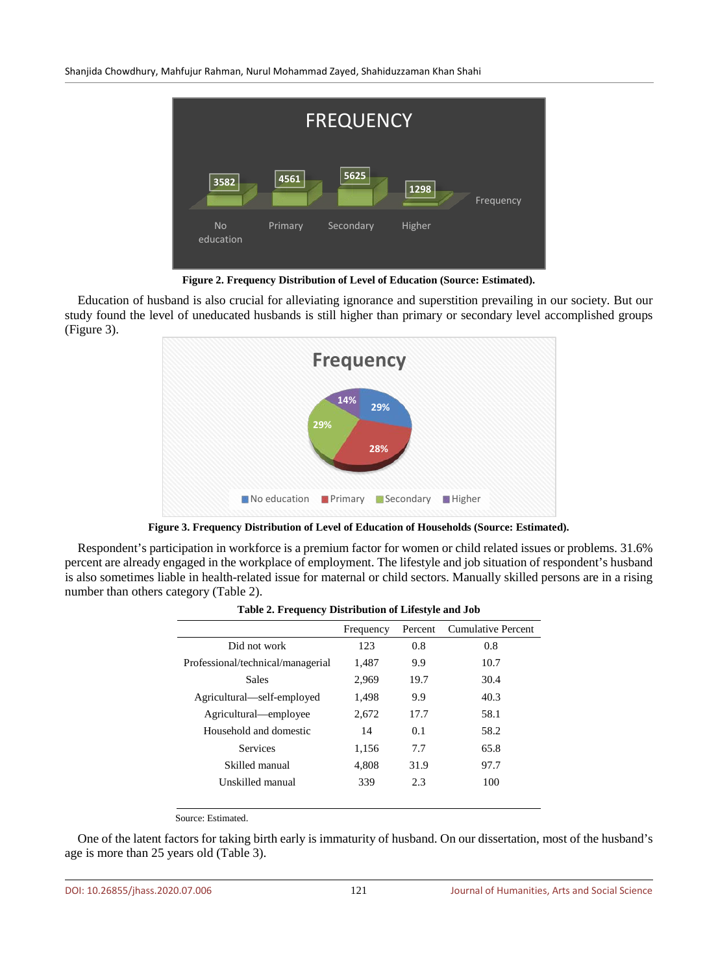Shanjida Chowdhury, Mahfujur Rahman, Nurul Mohammad Zayed, Shahiduzzaman Khan Shahi



**Figure 2. Frequency Distribution of Level of Education (Source: Estimated).**

Education of husband is also crucial for alleviating ignorance and superstition prevailing in our society. But our study found the level of uneducated husbands is still higher than primary or secondary level accomplished groups (Figure 3).



**Figure 3. Frequency Distribution of Level of Education of Households (Source: Estimated).**

Respondent's participation in workforce is a premium factor for women or child related issues or problems. 31.6% percent are already engaged in the workplace of employment. The lifestyle and job situation of respondent's husband is also sometimes liable in health-related issue for maternal or child sectors. Manually skilled persons are in a rising number than others category (Table 2).

|                                   | Frequency | Percent | <b>Cumulative Percent</b> |  |  |  |
|-----------------------------------|-----------|---------|---------------------------|--|--|--|
| Did not work                      | 123       | 0.8     | 0.8                       |  |  |  |
| Professional/technical/managerial | 1,487     | 9.9     | 10.7                      |  |  |  |
| <b>Sales</b>                      | 2,969     | 19.7    | 30.4                      |  |  |  |
| Agricultural—self-employed        | 1,498     | 9.9     | 40.3                      |  |  |  |
| Agricultural—employee             | 2.672     | 17.7    | 58.1                      |  |  |  |
| Household and domestic            | 14        | 0.1     | 58.2                      |  |  |  |
| <b>Services</b>                   | 1,156     | 7.7     | 65.8                      |  |  |  |
| Skilled manual                    | 4,808     | 31.9    | 97.7                      |  |  |  |
| Unskilled manual                  | 339       | 2.3     | 100                       |  |  |  |
|                                   |           |         |                           |  |  |  |

**Table 2. Frequency Distribution of Lifestyle and Job**

Source: Estimated.

One of the latent factors for taking birth early is immaturity of husband. On our dissertation, most of the husband's age is more than 25 years old (Table 3).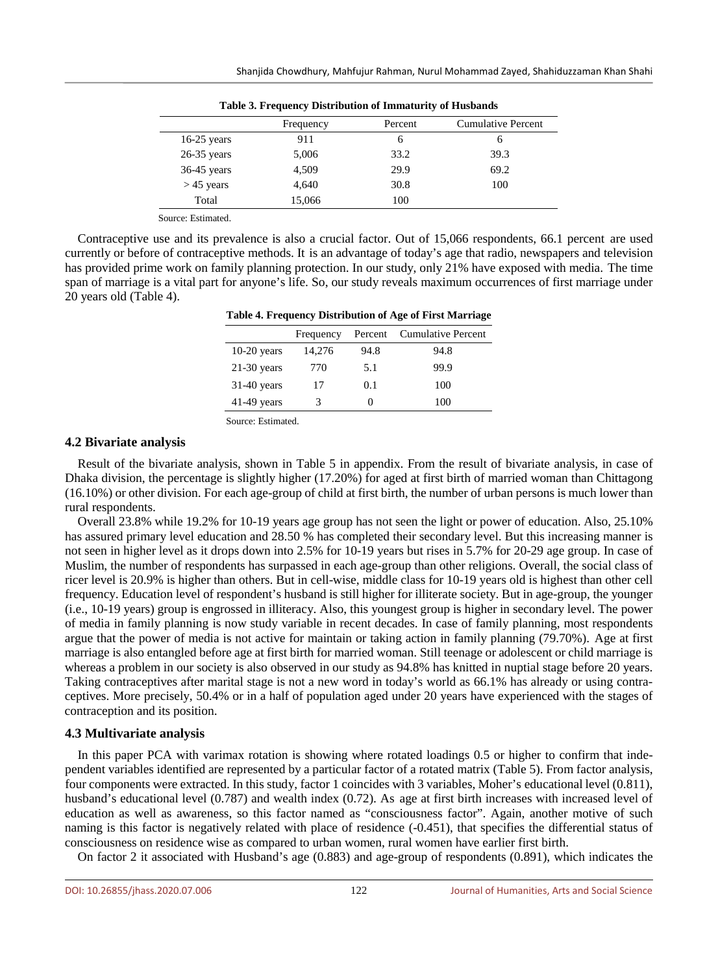| $\sim$ 0.000 $\sim$ 0.000 $\sim$ 0.000 $\sim$ 0.000 $\sim$ 0.000 $\sim$ 0.000 $\sim$ 0.000 $\sim$ 0.000 $\sim$ |  |  |  |  |  |  |
|----------------------------------------------------------------------------------------------------------------|--|--|--|--|--|--|
| <b>Cumulative Percent</b>                                                                                      |  |  |  |  |  |  |
|                                                                                                                |  |  |  |  |  |  |
|                                                                                                                |  |  |  |  |  |  |
|                                                                                                                |  |  |  |  |  |  |
|                                                                                                                |  |  |  |  |  |  |
|                                                                                                                |  |  |  |  |  |  |
|                                                                                                                |  |  |  |  |  |  |

**Table 3. Frequency Distribution of Immaturity of Husbands**

Source: Estimated.

Contraceptive use and its prevalence is also a crucial factor. Out of 15,066 respondents, 66.1 percent are used currently or before of contraceptive methods. It is an advantage of today's age that radio, newspapers and television has provided prime work on family planning protection. In our study, only 21% have exposed with media. The time span of marriage is a vital part for anyone's life. So, our study reveals maximum occurrences of first marriage under 20 years old (Table 4).

| Table 4. Frequency Distribution of Age of First Marriage |  |  |  |
|----------------------------------------------------------|--|--|--|
|----------------------------------------------------------|--|--|--|

|               | Frequency | Percent           | Cumulative Percent |
|---------------|-----------|-------------------|--------------------|
| $10-20$ years | 14,276    | 94.8              | 94.8               |
| $21-30$ years | 770       | 5.1               | 99.9               |
| $31-40$ years | 17        | 0.1               | 100                |
| $41-49$ years | 3         | $\mathbf{\Omega}$ | 100                |
|               |           |                   |                    |

Source: Estimated.

#### **4.2 Bivariate analysis**

Result of the bivariate analysis, shown in Table 5 in appendix. From the result of bivariate analysis, in case of Dhaka division, the percentage is slightly higher (17.20%) for aged at first birth of married woman than Chittagong (16.10%) or other division. For each age-group of child at first birth, the number of urban persons is much lower than rural respondents.

Overall 23.8% while 19.2% for 10-19 years age group has not seen the light or power of education. Also, 25.10% has assured primary level education and 28.50 % has completed their secondary level. But this increasing manner is not seen in higher level as it drops down into 2.5% for 10-19 years but rises in 5.7% for 20-29 age group. In case of Muslim, the number of respondents has surpassed in each age-group than other religions. Overall, the social class of ricer level is 20.9% is higher than others. But in cell-wise, middle class for 10-19 years old is highest than other cell frequency. Education level of respondent's husband is still higher for illiterate society. But in age-group, the younger (i.e., 10-19 years) group is engrossed in illiteracy. Also, this youngest group is higher in secondary level. The power of media in family planning is now study variable in recent decades. In case of family planning, most respondents argue that the power of media is not active for maintain or taking action in family planning (79.70%). Age at first marriage is also entangled before age at first birth for married woman. Still teenage or adolescent or child marriage is whereas a problem in our society is also observed in our study as 94.8% has knitted in nuptial stage before 20 years. Taking contraceptives after marital stage is not a new word in today's world as 66.1% has already or using contraceptives. More precisely, 50.4% or in a half of population aged under 20 years have experienced with the stages of contraception and its position.

#### **4.3 Multivariate analysis**

In this paper PCA with varimax rotation is showing where rotated loadings 0.5 or higher to confirm that independent variables identified are represented by a particular factor of a rotated matrix (Table 5). From factor analysis, four components were extracted. In this study, factor 1 coincides with 3 variables, Moher's educational level (0.811), husband's educational level (0.787) and wealth index (0.72). As age at first birth increases with increased level of education as well as awareness, so this factor named as "consciousness factor". Again, another motive of such naming is this factor is negatively related with place of residence (-0.451), that specifies the differential status of consciousness on residence wise as compared to urban women, rural women have earlier first birth.

On factor 2 it associated with Husband's age (0.883) and age-group of respondents (0.891), which indicates the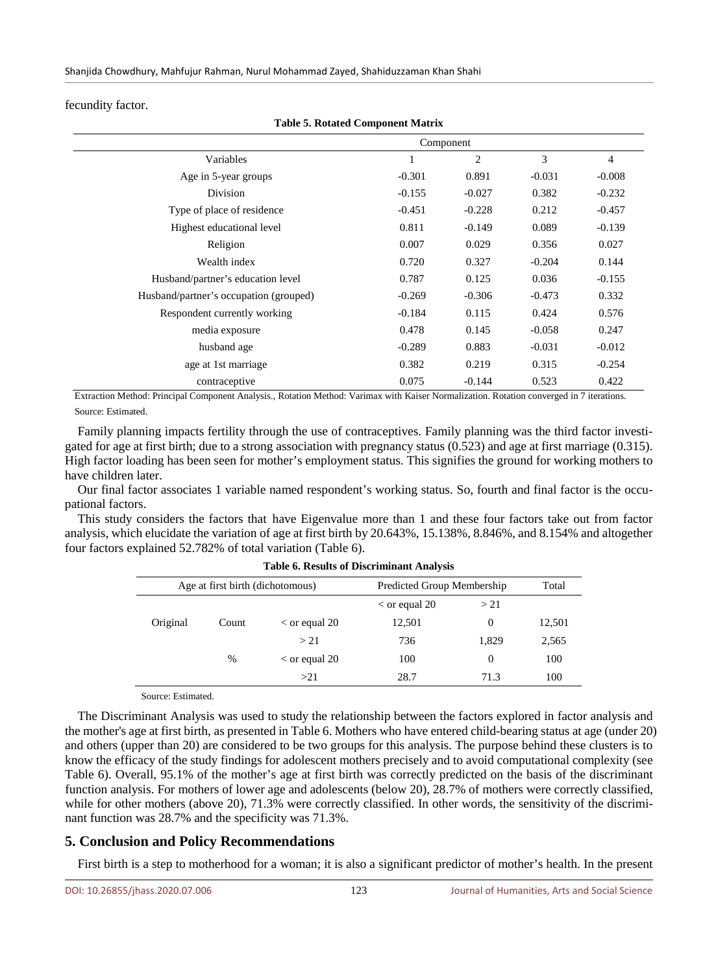fecundity factor.

|                                        | Component |                |          |                |  |
|----------------------------------------|-----------|----------------|----------|----------------|--|
| Variables                              |           | $\overline{2}$ | 3        | $\overline{4}$ |  |
| Age in 5-year groups                   | $-0.301$  | 0.891          | $-0.031$ | $-0.008$       |  |
| <b>Division</b>                        | $-0.155$  | $-0.027$       | 0.382    | $-0.232$       |  |
| Type of place of residence             | $-0.451$  | $-0.228$       | 0.212    | $-0.457$       |  |
| Highest educational level              | 0.811     | $-0.149$       | 0.089    | $-0.139$       |  |
| Religion                               | 0.007     | 0.029          | 0.356    | 0.027          |  |
| Wealth index                           | 0.720     | 0.327          | $-0.204$ | 0.144          |  |
| Husband/partner's education level      | 0.787     | 0.125          | 0.036    | $-0.155$       |  |
| Husband/partner's occupation (grouped) | $-0.269$  | $-0.306$       | $-0.473$ | 0.332          |  |
| Respondent currently working           | $-0.184$  | 0.115          | 0.424    | 0.576          |  |
| media exposure                         | 0.478     | 0.145          | $-0.058$ | 0.247          |  |
| husband age                            | $-0.289$  | 0.883          | $-0.031$ | $-0.012$       |  |
| age at 1st marriage                    | 0.382     | 0.219          | 0.315    | $-0.254$       |  |
| contraceptive                          | 0.075     | $-0.144$       | 0.523    | 0.422          |  |

**Table 5. Rotated Component Matrix**

Extraction Method: Principal Component Analysis., Rotation Method: Varimax with Kaiser Normalization. Rotation converged in 7 iterations. Source: Estimated.

Family planning impacts fertility through the use of contraceptives. Family planning was the third factor investigated for age at first birth; due to a strong association with pregnancy status (0.523) and age at first marriage (0.315). High factor loading has been seen for mother's employment status. This signifies the ground for working mothers to have children later.

Our final factor associates 1 variable named respondent's working status. So, fourth and final factor is the occupational factors.

This study considers the factors that have Eigenvalue more than 1 and these four factors take out from factor analysis, which elucidate the variation of age at first birth by 20.643%, 15.138%, 8.846%, and 8.154% and altogether four factors explained 52.782% of total variation (Table 6).

| Age at first birth (dichotomous) |       |                        | Predicted Group Membership |          |        |  |  |
|----------------------------------|-------|------------------------|----------------------------|----------|--------|--|--|
|                                  |       |                        | $\epsilon$ or equal 20     | >21      |        |  |  |
| Original                         | Count | $\epsilon$ or equal 20 | 12,501                     | $\Omega$ | 12,501 |  |  |
|                                  |       | > 21                   | 736                        | 1,829    | 2,565  |  |  |
|                                  | $\%$  | $\epsilon$ or equal 20 | 100                        | 0        | 100    |  |  |
|                                  |       | >21                    | 28.7                       | 71.3     | 100    |  |  |

**Table 6. Results of Discriminant Analysis**

Source: Estimated.

The Discriminant Analysis was used to study the relationship between the factors explored in factor analysis and the mother's age at first birth, as presented in Table 6. Mothers who have entered child-bearing status at age (under 20) and others (upper than 20) are considered to be two groups for this analysis. The purpose behind these clusters is to know the efficacy of the study findings for adolescent mothers precisely and to avoid computational complexity (see Table 6). Overall, 95.1% of the mother's age at first birth was correctly predicted on the basis of the discriminant function analysis. For mothers of lower age and adolescents (below 20), 28.7% of mothers were correctly classified, while for other mothers (above 20), 71.3% were correctly classified. In other words, the sensitivity of the discriminant function was 28.7% and the specificity was 71.3%.

## **5. Conclusion and Policy Recommendations**

First birth is a step to motherhood for a woman; it is also a significant predictor of mother's health. In the present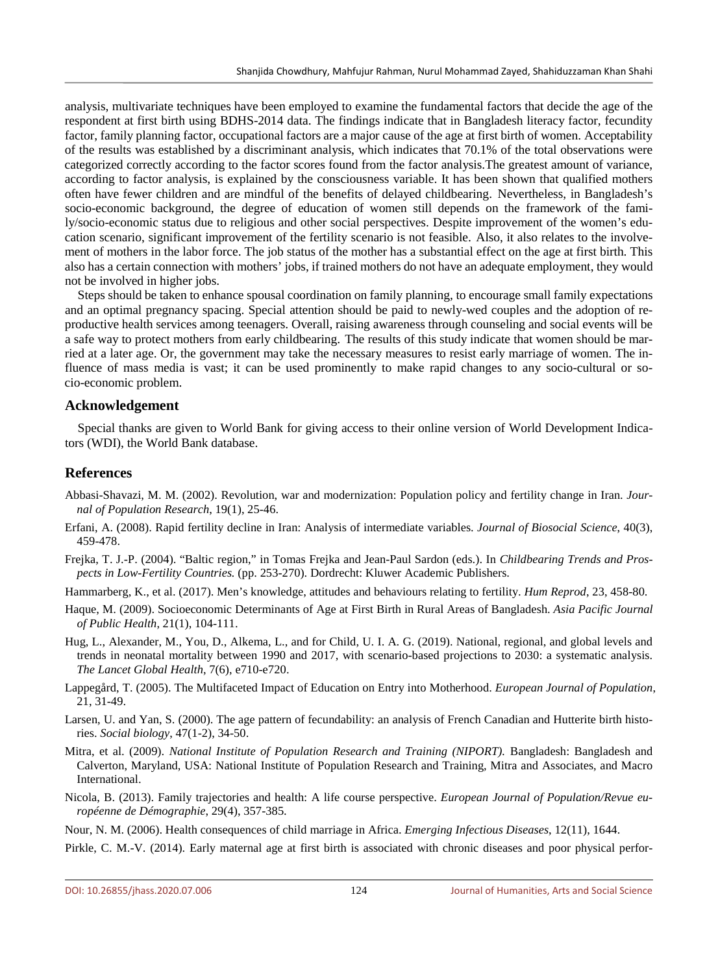analysis, multivariate techniques have been employed to examine the fundamental factors that decide the age of the respondent at first birth using BDHS-2014 data. The findings indicate that in Bangladesh literacy factor, fecundity factor, family planning factor, occupational factors are a major cause of the age at first birth of women. Acceptability of the results was established by a discriminant analysis, which indicates that 70.1% of the total observations were categorized correctly according to the factor scores found from the factor analysis.The greatest amount of variance, according to factor analysis, is explained by the consciousness variable. It has been shown that qualified mothers often have fewer children and are mindful of the benefits of delayed childbearing. Nevertheless, in Bangladesh's socio-economic background, the degree of education of women still depends on the framework of the family/socio-economic status due to religious and other social perspectives. Despite improvement of the women's education scenario, significant improvement of the fertility scenario is not feasible. Also, it also relates to the involvement of mothers in the labor force. The job status of the mother has a substantial effect on the age at first birth. This also has a certain connection with mothers' jobs, if trained mothers do not have an adequate employment, they would not be involved in higher jobs.

Steps should be taken to enhance spousal coordination on family planning, to encourage small family expectations and an optimal pregnancy spacing. Special attention should be paid to newly-wed couples and the adoption of reproductive health services among teenagers. Overall, raising awareness through counseling and social events will be a safe way to protect mothers from early childbearing. The results of this study indicate that women should be married at a later age. Or, the government may take the necessary measures to resist early marriage of women. The influence of mass media is vast; it can be used prominently to make rapid changes to any socio-cultural or socio-economic problem.

#### **Acknowledgement**

Special thanks are given to World Bank for giving access to their online version of World Development Indicators (WDI), the World Bank database.

## **References**

- Abbasi-Shavazi, M. M. (2002). Revolution, war and modernization: Population policy and fertility change in Iran. *Journal of Population Research*, 19(1), 25-46.
- Erfani, A. (2008). Rapid fertility decline in Iran: Analysis of intermediate variables. *Journal of Biosocial Science*, 40(3), 459-478.
- Frejka, T. J.-P. (2004). "Baltic region," in Tomas Frejka and Jean-Paul Sardon (eds.). In *Childbearing Trends and Prospects in Low-Fertility Countries.* (pp. 253-270). Dordrecht: Kluwer Academic Publishers.
- Hammarberg, K., et al. (2017). Men's knowledge, attitudes and behaviours relating to fertility. *Hum Reprod*, 23, 458-80.
- Haque, M. (2009). Socioeconomic Determinants of Age at First Birth in Rural Areas of Bangladesh. *Asia Pacific Journal of Public Health*, 21(1), 104-111.
- Hug, L., Alexander, M., You, D., Alkema, L., and for Child, U. I. A. G. (2019). National, regional, and global levels and trends in neonatal mortality between 1990 and 2017, with scenario-based projections to 2030: a systematic analysis. *The Lancet Global Health*, 7(6), e710-e720.
- Lappegård, T. (2005). The Multifaceted Impact of Education on Entry into Motherhood. *European Journal of Population*, 21, 31-49.
- Larsen, U. and Yan, S. (2000). The age pattern of fecundability: an analysis of French Canadian and Hutterite birth histories. *Social biology*, 47(1-2), 34-50.
- Mitra, et al. (2009). *National Institute of Population Research and Training (NIPORT).* Bangladesh: Bangladesh and Calverton, Maryland, USA: National Institute of Population Research and Training, Mitra and Associates, and Macro International.
- Nicola, B. (2013). Family trajectories and health: A life course perspective. *European Journal of Population/Revue européenne de Démographie*, 29(4), 357-385.
- Nour, N. M. (2006). Health consequences of child marriage in Africa. *Emerging Infectious Diseases*, 12(11), 1644.
- Pirkle, C. M.-V. (2014). Early maternal age at first birth is associated with chronic diseases and poor physical perfor-